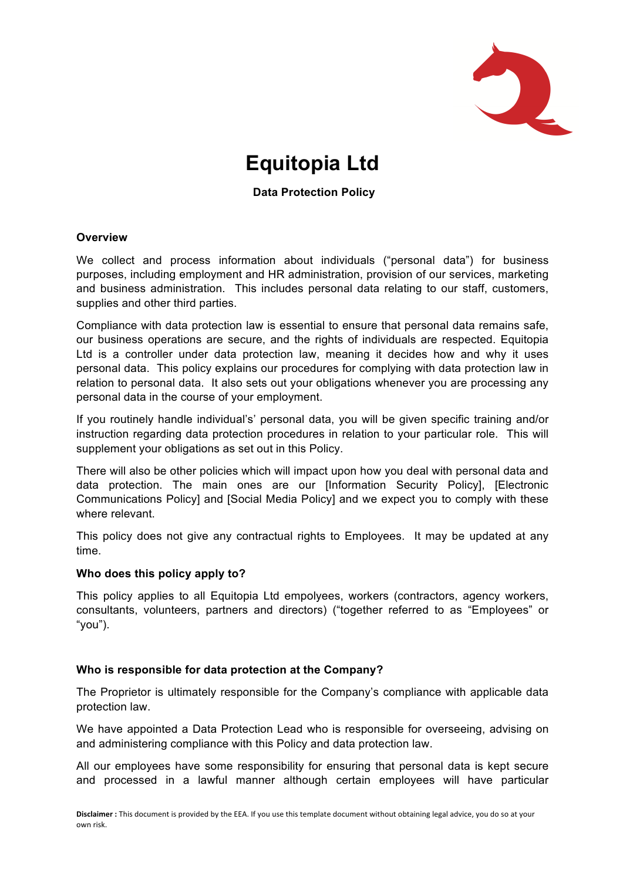

# **Equitopia Ltd**

# **Data Protection Policy**

#### **Overview**

We collect and process information about individuals ("personal data") for business purposes, including employment and HR administration, provision of our services, marketing and business administration. This includes personal data relating to our staff, customers, supplies and other third parties.

Compliance with data protection law is essential to ensure that personal data remains safe, our business operations are secure, and the rights of individuals are respected. Equitopia Ltd is a controller under data protection law, meaning it decides how and why it uses personal data. This policy explains our procedures for complying with data protection law in relation to personal data. It also sets out your obligations whenever you are processing any personal data in the course of your employment.

If you routinely handle individual's' personal data, you will be given specific training and/or instruction regarding data protection procedures in relation to your particular role. This will supplement your obligations as set out in this Policy.

There will also be other policies which will impact upon how you deal with personal data and data protection. The main ones are our [Information Security Policy], [Electronic Communications Policy] and [Social Media Policy] and we expect you to comply with these where relevant.

This policy does not give any contractual rights to Employees. It may be updated at any time.

#### **Who does this policy apply to?**

This policy applies to all Equitopia Ltd empolyees, workers (contractors, agency workers, consultants, volunteers, partners and directors) ("together referred to as "Employees" or "you").

#### **Who is responsible for data protection at the Company?**

The Proprietor is ultimately responsible for the Company's compliance with applicable data protection law.

We have appointed a Data Protection Lead who is responsible for overseeing, advising on and administering compliance with this Policy and data protection law.

All our employees have some responsibility for ensuring that personal data is kept secure and processed in a lawful manner although certain employees will have particular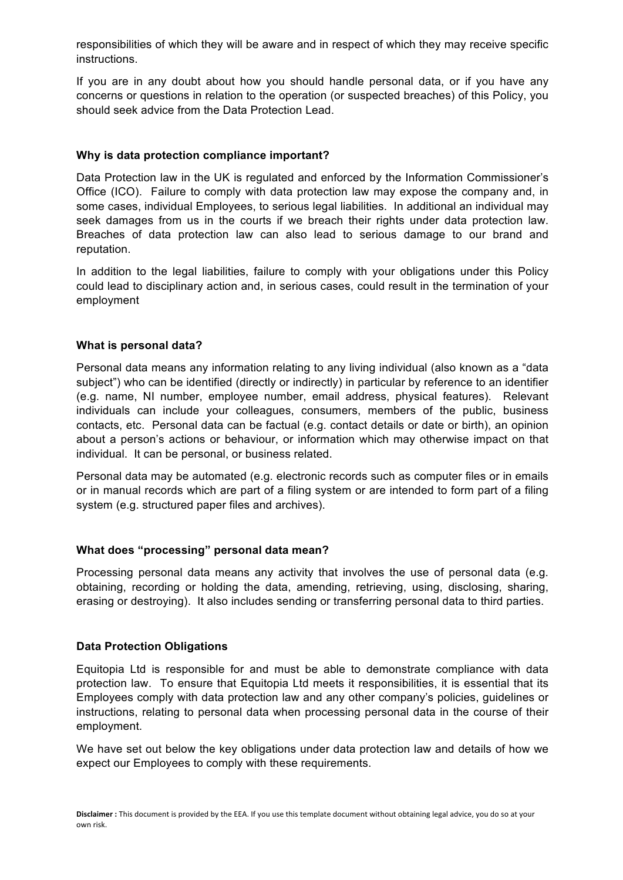responsibilities of which they will be aware and in respect of which they may receive specific instructions.

If you are in any doubt about how you should handle personal data, or if you have any concerns or questions in relation to the operation (or suspected breaches) of this Policy, you should seek advice from the Data Protection Lead.

## **Why is data protection compliance important?**

Data Protection law in the UK is regulated and enforced by the Information Commissioner's Office (ICO). Failure to comply with data protection law may expose the company and, in some cases, individual Employees, to serious legal liabilities. In additional an individual may seek damages from us in the courts if we breach their rights under data protection law. Breaches of data protection law can also lead to serious damage to our brand and reputation.

In addition to the legal liabilities, failure to comply with your obligations under this Policy could lead to disciplinary action and, in serious cases, could result in the termination of your employment

#### **What is personal data?**

Personal data means any information relating to any living individual (also known as a "data subject") who can be identified (directly or indirectly) in particular by reference to an identifier (e.g. name, NI number, employee number, email address, physical features). Relevant individuals can include your colleagues, consumers, members of the public, business contacts, etc. Personal data can be factual (e.g. contact details or date or birth), an opinion about a person's actions or behaviour, or information which may otherwise impact on that individual. It can be personal, or business related.

Personal data may be automated (e.g. electronic records such as computer files or in emails or in manual records which are part of a filing system or are intended to form part of a filing system (e.g. structured paper files and archives).

#### **What does "processing" personal data mean?**

Processing personal data means any activity that involves the use of personal data (e.g. obtaining, recording or holding the data, amending, retrieving, using, disclosing, sharing, erasing or destroying). It also includes sending or transferring personal data to third parties.

## **Data Protection Obligations**

Equitopia Ltd is responsible for and must be able to demonstrate compliance with data protection law. To ensure that Equitopia Ltd meets it responsibilities, it is essential that its Employees comply with data protection law and any other company's policies, guidelines or instructions, relating to personal data when processing personal data in the course of their employment.

We have set out below the key obligations under data protection law and details of how we expect our Employees to comply with these requirements.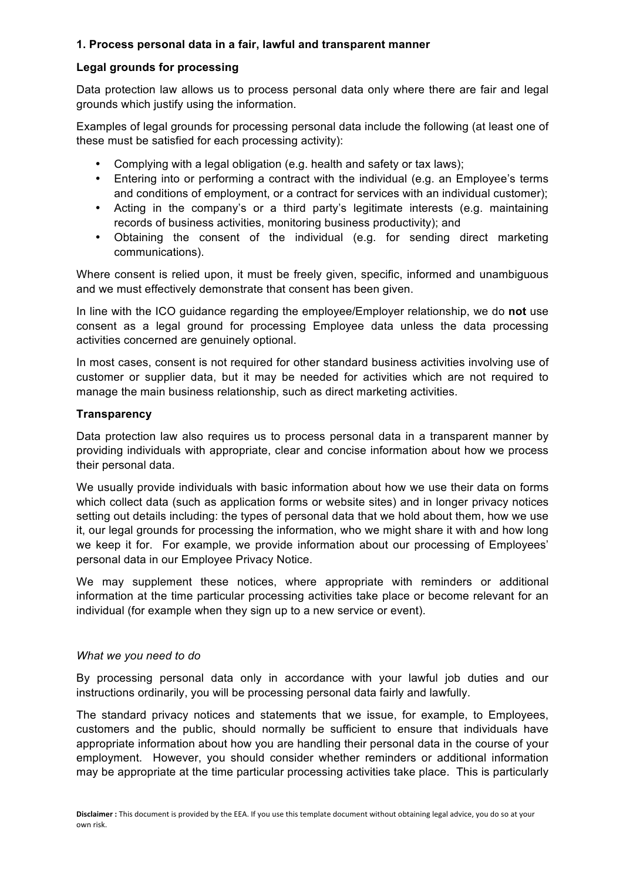# **1. Process personal data in a fair, lawful and transparent manner**

## **Legal grounds for processing**

Data protection law allows us to process personal data only where there are fair and legal grounds which justify using the information.

Examples of legal grounds for processing personal data include the following (at least one of these must be satisfied for each processing activity):

- Complying with a legal obligation (e.g. health and safety or tax laws);
- Entering into or performing a contract with the individual (e.g. an Employee's terms and conditions of employment, or a contract for services with an individual customer);
- Acting in the company's or a third party's legitimate interests (e.g. maintaining records of business activities, monitoring business productivity); and
- Obtaining the consent of the individual (e.g. for sending direct marketing communications).

Where consent is relied upon, it must be freely given, specific, informed and unambiguous and we must effectively demonstrate that consent has been given.

In line with the ICO guidance regarding the employee/Employer relationship, we do **not** use consent as a legal ground for processing Employee data unless the data processing activities concerned are genuinely optional.

In most cases, consent is not required for other standard business activities involving use of customer or supplier data, but it may be needed for activities which are not required to manage the main business relationship, such as direct marketing activities.

## **Transparency**

Data protection law also requires us to process personal data in a transparent manner by providing individuals with appropriate, clear and concise information about how we process their personal data.

We usually provide individuals with basic information about how we use their data on forms which collect data (such as application forms or website sites) and in longer privacy notices setting out details including: the types of personal data that we hold about them, how we use it, our legal grounds for processing the information, who we might share it with and how long we keep it for. For example, we provide information about our processing of Employees' personal data in our Employee Privacy Notice.

We may supplement these notices, where appropriate with reminders or additional information at the time particular processing activities take place or become relevant for an individual (for example when they sign up to a new service or event).

#### *What we you need to do*

By processing personal data only in accordance with your lawful job duties and our instructions ordinarily, you will be processing personal data fairly and lawfully.

The standard privacy notices and statements that we issue, for example, to Employees, customers and the public, should normally be sufficient to ensure that individuals have appropriate information about how you are handling their personal data in the course of your employment. However, you should consider whether reminders or additional information may be appropriate at the time particular processing activities take place. This is particularly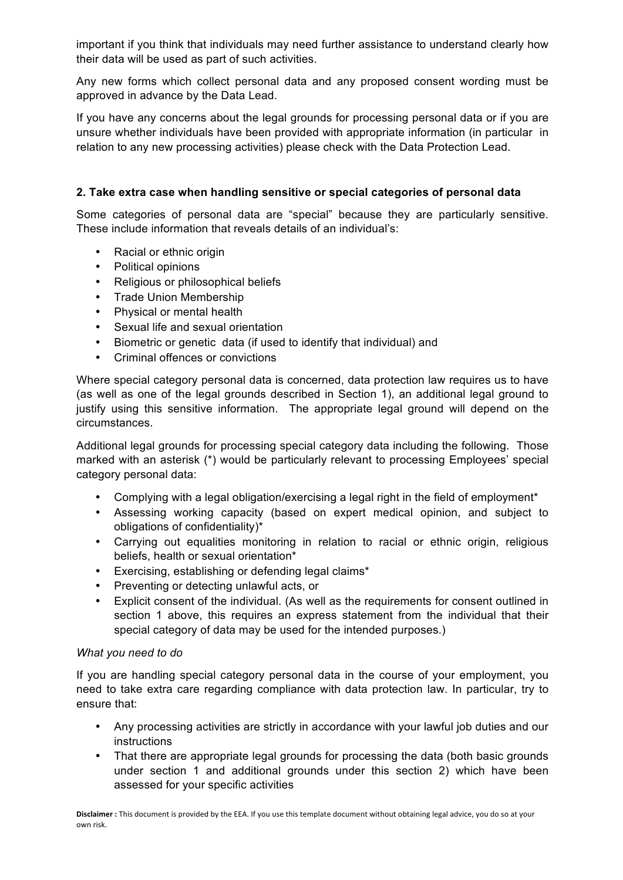important if you think that individuals may need further assistance to understand clearly how their data will be used as part of such activities.

Any new forms which collect personal data and any proposed consent wording must be approved in advance by the Data Lead.

If you have any concerns about the legal grounds for processing personal data or if you are unsure whether individuals have been provided with appropriate information (in particular in relation to any new processing activities) please check with the Data Protection Lead.

# **2. Take extra case when handling sensitive or special categories of personal data**

Some categories of personal data are "special" because they are particularly sensitive. These include information that reveals details of an individual's:

- Racial or ethnic origin
- Political opinions
- Religious or philosophical beliefs
- Trade Union Membership
- Physical or mental health
- Sexual life and sexual orientation
- Biometric or genetic data (if used to identify that individual) and
- Criminal offences or convictions

Where special category personal data is concerned, data protection law requires us to have (as well as one of the legal grounds described in Section 1), an additional legal ground to justify using this sensitive information. The appropriate legal ground will depend on the circumstances.

Additional legal grounds for processing special category data including the following. Those marked with an asterisk (\*) would be particularly relevant to processing Employees' special category personal data:

- Complying with a legal obligation/exercising a legal right in the field of employment\*
- Assessing working capacity (based on expert medical opinion, and subject to obligations of confidentiality)\*
- Carrying out equalities monitoring in relation to racial or ethnic origin, religious beliefs, health or sexual orientation\*
- Exercising, establishing or defending legal claims\*
- Preventing or detecting unlawful acts, or
- Explicit consent of the individual. (As well as the requirements for consent outlined in section 1 above, this requires an express statement from the individual that their special category of data may be used for the intended purposes.)

## *What you need to do*

If you are handling special category personal data in the course of your employment, you need to take extra care regarding compliance with data protection law. In particular, try to ensure that:

- Any processing activities are strictly in accordance with your lawful job duties and our instructions
- That there are appropriate legal grounds for processing the data (both basic grounds under section 1 and additional grounds under this section 2) which have been assessed for your specific activities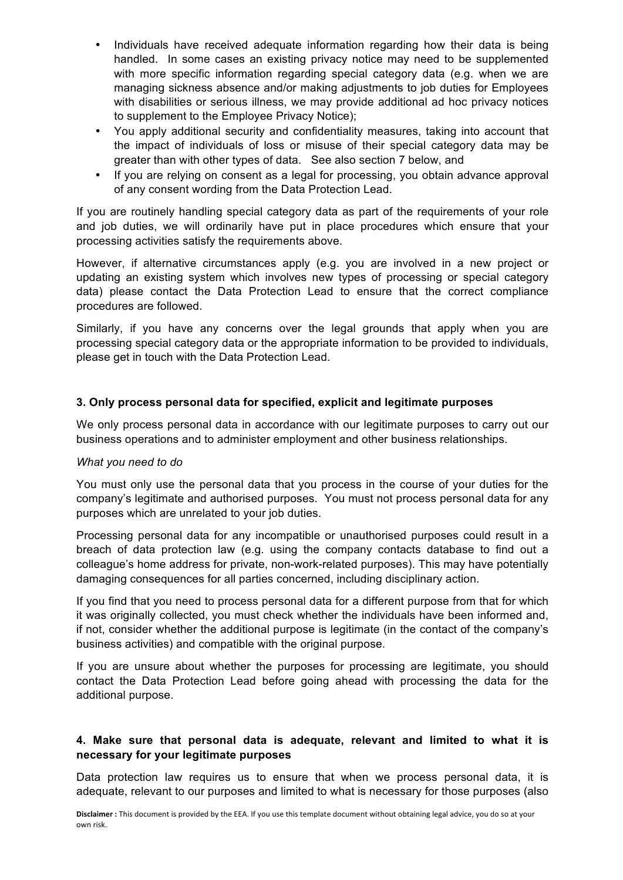- Individuals have received adequate information regarding how their data is being handled. In some cases an existing privacy notice may need to be supplemented with more specific information regarding special category data (e.g. when we are managing sickness absence and/or making adjustments to job duties for Employees with disabilities or serious illness, we may provide additional ad hoc privacy notices to supplement to the Employee Privacy Notice);
- You apply additional security and confidentiality measures, taking into account that the impact of individuals of loss or misuse of their special category data may be greater than with other types of data. See also section 7 below, and
- If you are relying on consent as a legal for processing, you obtain advance approval of any consent wording from the Data Protection Lead.

If you are routinely handling special category data as part of the requirements of your role and job duties, we will ordinarily have put in place procedures which ensure that your processing activities satisfy the requirements above.

However, if alternative circumstances apply (e.g. you are involved in a new project or updating an existing system which involves new types of processing or special category data) please contact the Data Protection Lead to ensure that the correct compliance procedures are followed.

Similarly, if you have any concerns over the legal grounds that apply when you are processing special category data or the appropriate information to be provided to individuals, please get in touch with the Data Protection Lead.

# **3. Only process personal data for specified, explicit and legitimate purposes**

We only process personal data in accordance with our legitimate purposes to carry out our business operations and to administer employment and other business relationships.

## *What you need to do*

You must only use the personal data that you process in the course of your duties for the company's legitimate and authorised purposes. You must not process personal data for any purposes which are unrelated to your job duties.

Processing personal data for any incompatible or unauthorised purposes could result in a breach of data protection law (e.g. using the company contacts database to find out a colleague's home address for private, non-work-related purposes). This may have potentially damaging consequences for all parties concerned, including disciplinary action.

If you find that you need to process personal data for a different purpose from that for which it was originally collected, you must check whether the individuals have been informed and, if not, consider whether the additional purpose is legitimate (in the contact of the company's business activities) and compatible with the original purpose.

If you are unsure about whether the purposes for processing are legitimate, you should contact the Data Protection Lead before going ahead with processing the data for the additional purpose.

# **4. Make sure that personal data is adequate, relevant and limited to what it is necessary for your legitimate purposes**

Data protection law requires us to ensure that when we process personal data, it is adequate, relevant to our purposes and limited to what is necessary for those purposes (also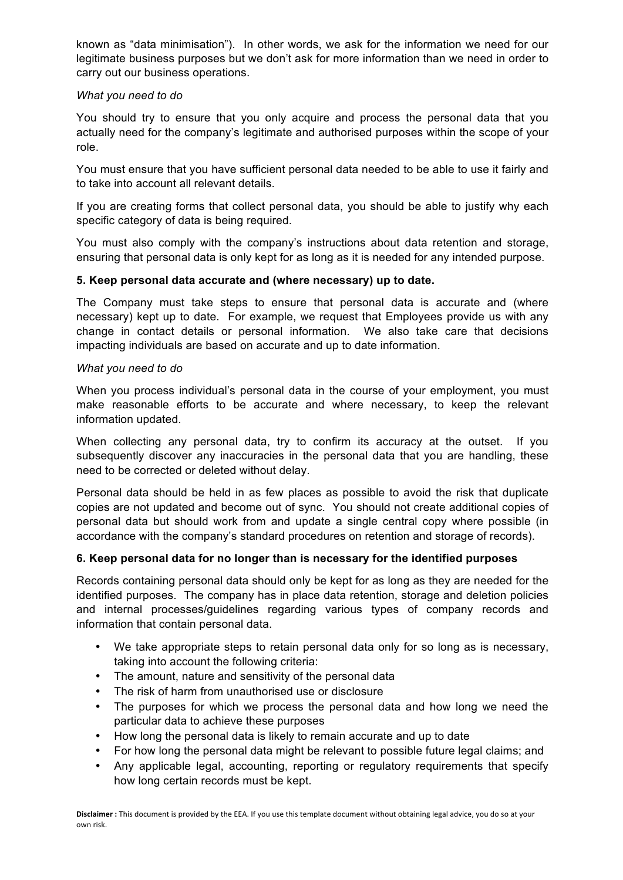known as "data minimisation"). In other words, we ask for the information we need for our legitimate business purposes but we don't ask for more information than we need in order to carry out our business operations.

## *What you need to do*

You should try to ensure that you only acquire and process the personal data that you actually need for the company's legitimate and authorised purposes within the scope of your role.

You must ensure that you have sufficient personal data needed to be able to use it fairly and to take into account all relevant details.

If you are creating forms that collect personal data, you should be able to justify why each specific category of data is being required.

You must also comply with the company's instructions about data retention and storage, ensuring that personal data is only kept for as long as it is needed for any intended purpose.

## **5. Keep personal data accurate and (where necessary) up to date.**

The Company must take steps to ensure that personal data is accurate and (where necessary) kept up to date. For example, we request that Employees provide us with any change in contact details or personal information. We also take care that decisions impacting individuals are based on accurate and up to date information.

## *What you need to do*

When you process individual's personal data in the course of your employment, you must make reasonable efforts to be accurate and where necessary, to keep the relevant information updated.

When collecting any personal data, try to confirm its accuracy at the outset. If you subsequently discover any inaccuracies in the personal data that you are handling, these need to be corrected or deleted without delay.

Personal data should be held in as few places as possible to avoid the risk that duplicate copies are not updated and become out of sync. You should not create additional copies of personal data but should work from and update a single central copy where possible (in accordance with the company's standard procedures on retention and storage of records).

# **6. Keep personal data for no longer than is necessary for the identified purposes**

Records containing personal data should only be kept for as long as they are needed for the identified purposes. The company has in place data retention, storage and deletion policies and internal processes/guidelines regarding various types of company records and information that contain personal data.

- We take appropriate steps to retain personal data only for so long as is necessary, taking into account the following criteria:
- The amount, nature and sensitivity of the personal data
- The risk of harm from unauthorised use or disclosure
- The purposes for which we process the personal data and how long we need the particular data to achieve these purposes
- How long the personal data is likely to remain accurate and up to date
- For how long the personal data might be relevant to possible future legal claims; and
- Any applicable legal, accounting, reporting or regulatory requirements that specify how long certain records must be kept.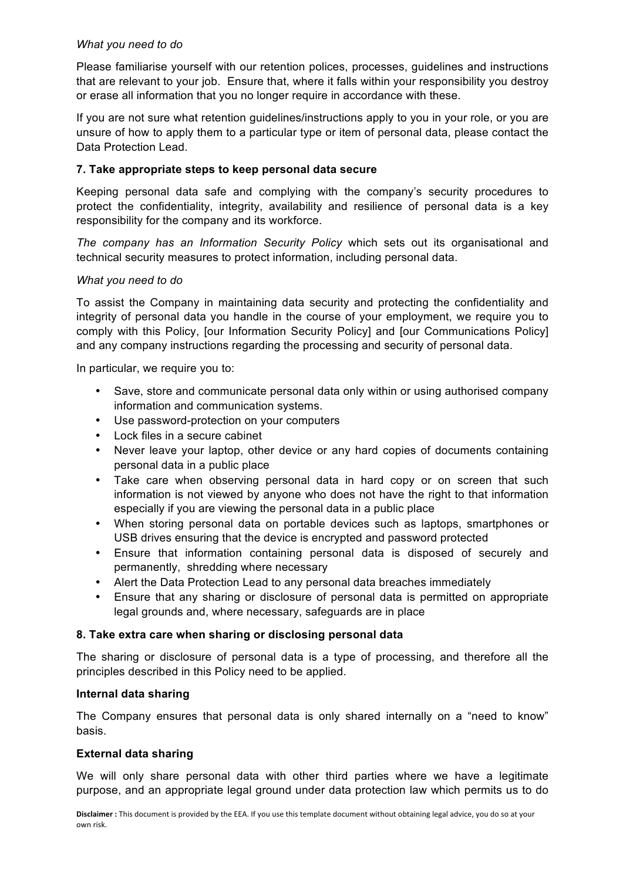## *What you need to do*

Please familiarise yourself with our retention polices, processes, guidelines and instructions that are relevant to your job. Ensure that, where it falls within your responsibility you destroy or erase all information that you no longer require in accordance with these.

If you are not sure what retention guidelines/instructions apply to you in your role, or you are unsure of how to apply them to a particular type or item of personal data, please contact the Data Protection Lead.

## **7. Take appropriate steps to keep personal data secure**

Keeping personal data safe and complying with the company's security procedures to protect the confidentiality, integrity, availability and resilience of personal data is a key responsibility for the company and its workforce.

*The company has an Information Security Policy* which sets out its organisational and technical security measures to protect information, including personal data.

## *What you need to do*

To assist the Company in maintaining data security and protecting the confidentiality and integrity of personal data you handle in the course of your employment, we require you to comply with this Policy, [our Information Security Policy] and [our Communications Policy] and any company instructions regarding the processing and security of personal data.

In particular, we require you to:

- Save, store and communicate personal data only within or using authorised company information and communication systems.
- Use password-protection on your computers
- Lock files in a secure cabinet
- Never leave your laptop, other device or any hard copies of documents containing personal data in a public place
- Take care when observing personal data in hard copy or on screen that such information is not viewed by anyone who does not have the right to that information especially if you are viewing the personal data in a public place
- When storing personal data on portable devices such as laptops, smartphones or USB drives ensuring that the device is encrypted and password protected
- Ensure that information containing personal data is disposed of securely and permanently, shredding where necessary
- Alert the Data Protection Lead to any personal data breaches immediately
- Ensure that any sharing or disclosure of personal data is permitted on appropriate legal grounds and, where necessary, safeguards are in place

## **8. Take extra care when sharing or disclosing personal data**

The sharing or disclosure of personal data is a type of processing, and therefore all the principles described in this Policy need to be applied.

#### **Internal data sharing**

The Company ensures that personal data is only shared internally on a "need to know" basis.

#### **External data sharing**

We will only share personal data with other third parties where we have a legitimate purpose, and an appropriate legal ground under data protection law which permits us to do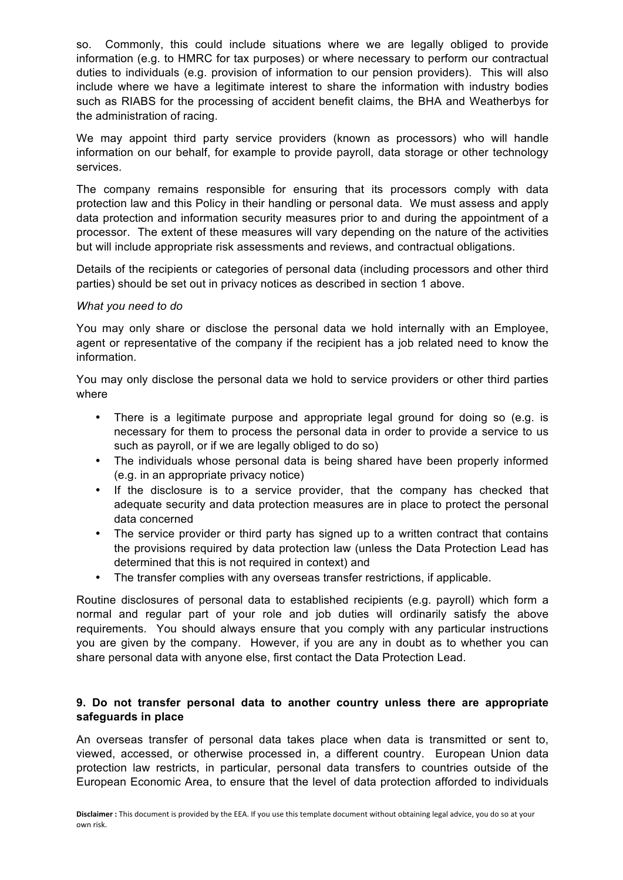so. Commonly, this could include situations where we are legally obliged to provide information (e.g. to HMRC for tax purposes) or where necessary to perform our contractual duties to individuals (e.g. provision of information to our pension providers). This will also include where we have a legitimate interest to share the information with industry bodies such as RIABS for the processing of accident benefit claims, the BHA and Weatherbys for the administration of racing.

We may appoint third party service providers (known as processors) who will handle information on our behalf, for example to provide payroll, data storage or other technology services.

The company remains responsible for ensuring that its processors comply with data protection law and this Policy in their handling or personal data. We must assess and apply data protection and information security measures prior to and during the appointment of a processor. The extent of these measures will vary depending on the nature of the activities but will include appropriate risk assessments and reviews, and contractual obligations.

Details of the recipients or categories of personal data (including processors and other third parties) should be set out in privacy notices as described in section 1 above.

#### *What you need to do*

You may only share or disclose the personal data we hold internally with an Employee, agent or representative of the company if the recipient has a job related need to know the information.

You may only disclose the personal data we hold to service providers or other third parties where

- There is a legitimate purpose and appropriate legal ground for doing so (e.g. is necessary for them to process the personal data in order to provide a service to us such as payroll, or if we are legally obliged to do so)
- The individuals whose personal data is being shared have been properly informed (e.g. in an appropriate privacy notice)
- If the disclosure is to a service provider, that the company has checked that adequate security and data protection measures are in place to protect the personal data concerned
- The service provider or third party has signed up to a written contract that contains the provisions required by data protection law (unless the Data Protection Lead has determined that this is not required in context) and
- The transfer complies with any overseas transfer restrictions, if applicable.

Routine disclosures of personal data to established recipients (e.g. payroll) which form a normal and regular part of your role and job duties will ordinarily satisfy the above requirements. You should always ensure that you comply with any particular instructions you are given by the company. However, if you are any in doubt as to whether you can share personal data with anyone else, first contact the Data Protection Lead.

## **9. Do not transfer personal data to another country unless there are appropriate safeguards in place**

An overseas transfer of personal data takes place when data is transmitted or sent to, viewed, accessed, or otherwise processed in, a different country. European Union data protection law restricts, in particular, personal data transfers to countries outside of the European Economic Area, to ensure that the level of data protection afforded to individuals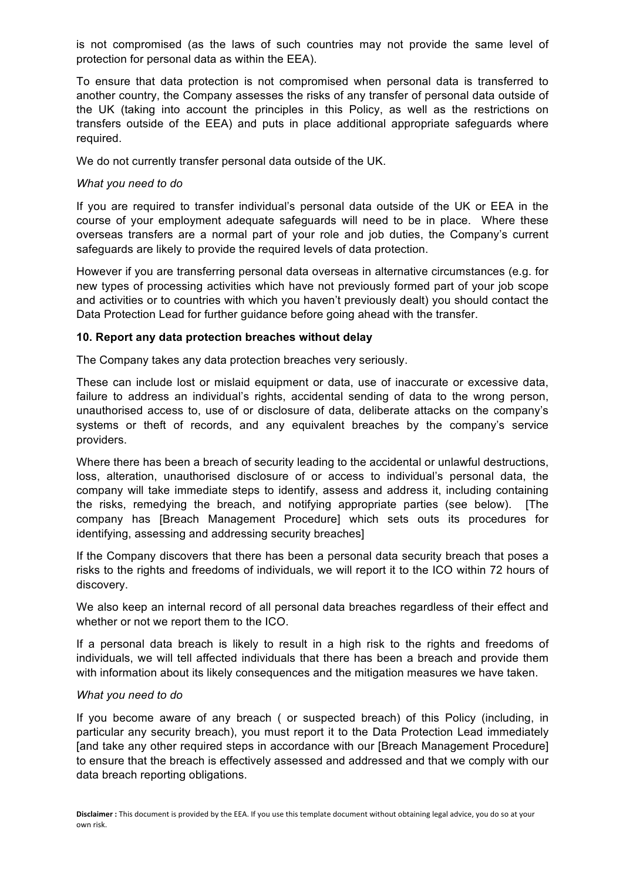is not compromised (as the laws of such countries may not provide the same level of protection for personal data as within the EEA).

To ensure that data protection is not compromised when personal data is transferred to another country, the Company assesses the risks of any transfer of personal data outside of the UK (taking into account the principles in this Policy, as well as the restrictions on transfers outside of the EEA) and puts in place additional appropriate safeguards where required.

We do not currently transfer personal data outside of the UK.

#### *What you need to do*

If you are required to transfer individual's personal data outside of the UK or EEA in the course of your employment adequate safeguards will need to be in place. Where these overseas transfers are a normal part of your role and job duties, the Company's current safeguards are likely to provide the required levels of data protection.

However if you are transferring personal data overseas in alternative circumstances (e.g. for new types of processing activities which have not previously formed part of your job scope and activities or to countries with which you haven't previously dealt) you should contact the Data Protection Lead for further guidance before going ahead with the transfer.

#### **10. Report any data protection breaches without delay**

The Company takes any data protection breaches very seriously.

These can include lost or mislaid equipment or data, use of inaccurate or excessive data, failure to address an individual's rights, accidental sending of data to the wrong person, unauthorised access to, use of or disclosure of data, deliberate attacks on the company's systems or theft of records, and any equivalent breaches by the company's service providers.

Where there has been a breach of security leading to the accidental or unlawful destructions, loss, alteration, unauthorised disclosure of or access to individual's personal data, the company will take immediate steps to identify, assess and address it, including containing the risks, remedying the breach, and notifying appropriate parties (see below). [The company has [Breach Management Procedure] which sets outs its procedures for identifying, assessing and addressing security breaches]

If the Company discovers that there has been a personal data security breach that poses a risks to the rights and freedoms of individuals, we will report it to the ICO within 72 hours of discovery.

We also keep an internal record of all personal data breaches regardless of their effect and whether or not we report them to the ICO.

If a personal data breach is likely to result in a high risk to the rights and freedoms of individuals, we will tell affected individuals that there has been a breach and provide them with information about its likely consequences and the mitigation measures we have taken.

#### *What you need to do*

If you become aware of any breach ( or suspected breach) of this Policy (including, in particular any security breach), you must report it to the Data Protection Lead immediately [and take any other required steps in accordance with our [Breach Management Procedure] to ensure that the breach is effectively assessed and addressed and that we comply with our data breach reporting obligations.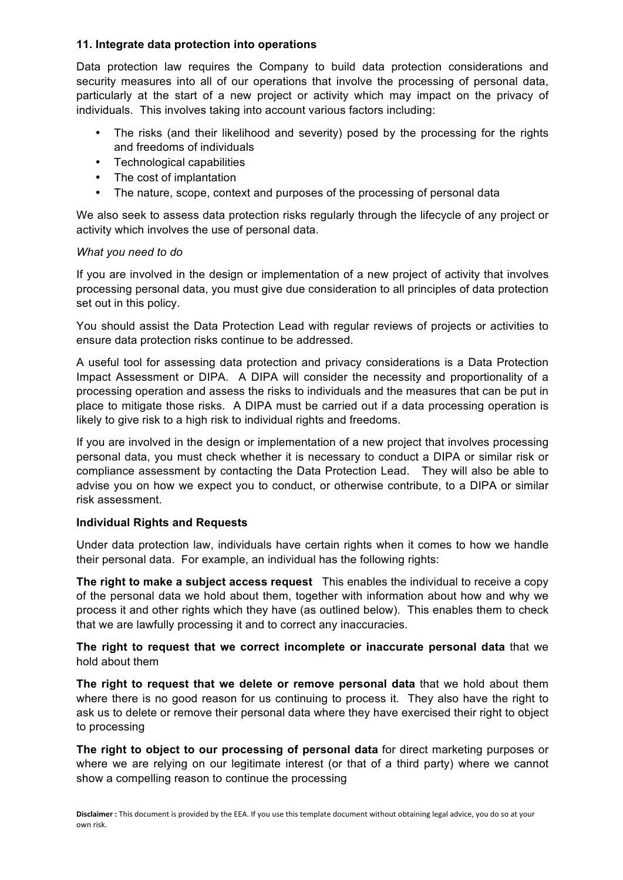## **11. Integrate data protection into operations**

Data protection law requires the Company to build data protection considerations and security measures into all of our operations that involve the processing of personal data, particularly at the start of a new project or activity which may impact on the privacy of individuals. This involves taking into account various factors including:

- The risks (and their likelihood and severity) posed by the processing for the rights and freedoms of individuals
- Technological capabilities
- The cost of implantation
- The nature, scope, context and purposes of the processing of personal data

We also seek to assess data protection risks regularly through the lifecycle of any project or activity which involves the use of personal data.

## *What you need to do*

If you are involved in the design or implementation of a new project of activity that involves processing personal data, you must give due consideration to all principles of data protection set out in this policy.

You should assist the Data Protection Lead with regular reviews of projects or activities to ensure data protection risks continue to be addressed.

A useful tool for assessing data protection and privacy considerations is a Data Protection Impact Assessment or DIPA. A DIPA will consider the necessity and proportionality of a processing operation and assess the risks to individuals and the measures that can be put in place to mitigate those risks. A DIPA must be carried out if a data processing operation is likely to give risk to a high risk to individual rights and freedoms.

If you are involved in the design or implementation of a new project that involves processing personal data, you must check whether it is necessary to conduct a DIPA or similar risk or compliance assessment by contacting the Data Protection Lead. They will also be able to advise you on how we expect you to conduct, or otherwise contribute, to a DIPA or similar risk assessment.

# **Individual Rights and Requests**

Under data protection law, individuals have certain rights when it comes to how we handle their personal data. For example, an individual has the following rights:

**The right to make a subject access request** This enables the individual to receive a copy of the personal data we hold about them, together with information about how and why we process it and other rights which they have (as outlined below). This enables them to check that we are lawfully processing it and to correct any inaccuracies.

**The right to request that we correct incomplete or inaccurate personal data** that we hold about them

**The right to request that we delete or remove personal data** that we hold about them where there is no good reason for us continuing to process it. They also have the right to ask us to delete or remove their personal data where they have exercised their right to object to processing

**The right to object to our processing of personal data** for direct marketing purposes or where we are relying on our legitimate interest (or that of a third party) where we cannot show a compelling reason to continue the processing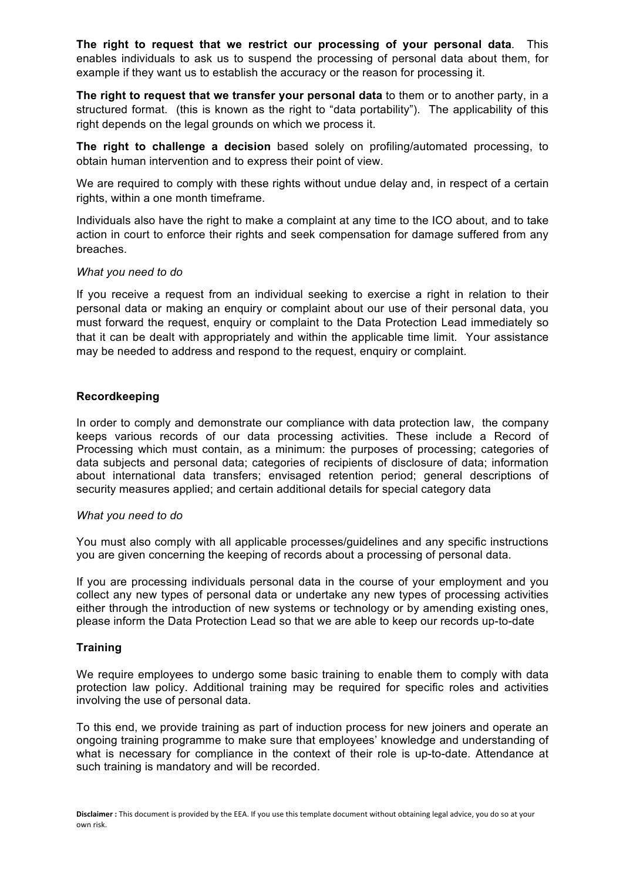**The right to request that we restrict our processing of your personal data**. This enables individuals to ask us to suspend the processing of personal data about them, for example if they want us to establish the accuracy or the reason for processing it.

**The right to request that we transfer your personal data** to them or to another party, in a structured format. (this is known as the right to "data portability"). The applicability of this right depends on the legal grounds on which we process it.

**The right to challenge a decision** based solely on profiling/automated processing, to obtain human intervention and to express their point of view.

We are required to comply with these rights without undue delay and, in respect of a certain rights, within a one month timeframe.

Individuals also have the right to make a complaint at any time to the ICO about, and to take action in court to enforce their rights and seek compensation for damage suffered from any breaches.

#### *What you need to do*

If you receive a request from an individual seeking to exercise a right in relation to their personal data or making an enquiry or complaint about our use of their personal data, you must forward the request, enquiry or complaint to the Data Protection Lead immediately so that it can be dealt with appropriately and within the applicable time limit. Your assistance may be needed to address and respond to the request, enquiry or complaint.

## **Recordkeeping**

In order to comply and demonstrate our compliance with data protection law, the company keeps various records of our data processing activities. These include a Record of Processing which must contain, as a minimum: the purposes of processing; categories of data subjects and personal data; categories of recipients of disclosure of data; information about international data transfers; envisaged retention period; general descriptions of security measures applied; and certain additional details for special category data

## *What you need to do*

You must also comply with all applicable processes/guidelines and any specific instructions you are given concerning the keeping of records about a processing of personal data.

If you are processing individuals personal data in the course of your employment and you collect any new types of personal data or undertake any new types of processing activities either through the introduction of new systems or technology or by amending existing ones, please inform the Data Protection Lead so that we are able to keep our records up-to-date

## **Training**

We require employees to undergo some basic training to enable them to comply with data protection law policy. Additional training may be required for specific roles and activities involving the use of personal data.

To this end, we provide training as part of induction process for new joiners and operate an ongoing training programme to make sure that employees' knowledge and understanding of what is necessary for compliance in the context of their role is up-to-date. Attendance at such training is mandatory and will be recorded.